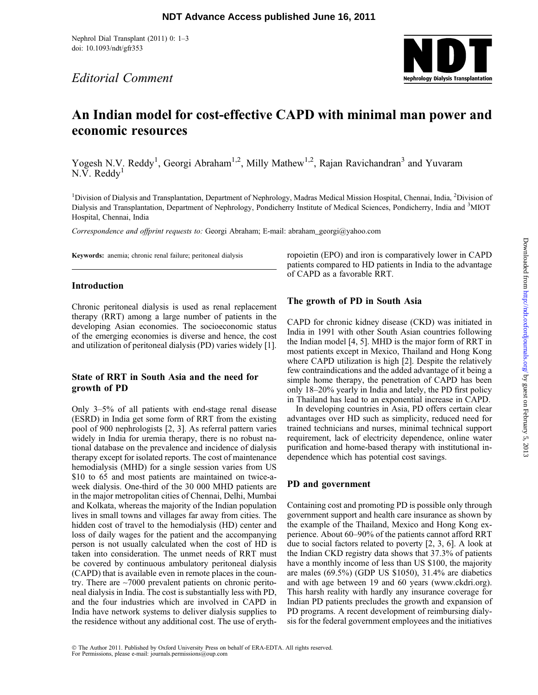Nephrol Dial Transplant (2011) 0: 1–3 doi: 10.1093/ndt/gfr353

Editorial Comment



# An Indian model for cost-effective CAPD with minimal man power and economic resources

Yogesh N.V. Reddy<sup>1</sup>, Georgi Abraham<sup>1,2</sup>, Milly Mathew<sup>1,2</sup>, Rajan Ravichandran<sup>3</sup> and Yuvaram  $N.V.$  Reddy<sup>1</sup>

<sup>1</sup>Division of Dialysis and Transplantation, Department of Nephrology, Madras Medical Mission Hospital, Chennai, India, <sup>2</sup>Division of Dialysis and Transplantation, Department of Nephrology, Pondicherry Institute of Medical Sciences, Pondicherry, India and <sup>3</sup>MIOT Hospital, Chennai, India

Correspondence and offprint requests to: Georgi Abraham; E-mail: abraham\_georgi@yahoo.com

Keywords: anemia; chronic renal failure; peritoneal dialysis

#### Introduction

Chronic peritoneal dialysis is used as renal replacement therapy (RRT) among a large number of patients in the developing Asian economies. The socioeconomic status of the emerging economies is diverse and hence, the cost and utilization of peritoneal dialysis (PD) varies widely [1].

## State of RRT in South Asia and the need for growth of PD

Only 3–5% of all patients with end-stage renal disease (ESRD) in India get some form of RRT from the existing pool of 900 nephrologists [2, 3]. As referral pattern varies widely in India for uremia therapy, there is no robust national database on the prevalence and incidence of dialysis therapy except for isolated reports. The cost of maintenance hemodialysis (MHD) for a single session varies from US \$10 to 65 and most patients are maintained on twice-aweek dialysis. One-third of the 30 000 MHD patients are in the major metropolitan cities of Chennai, Delhi, Mumbai and Kolkata, whereas the majority of the Indian population lives in small towns and villages far away from cities. The hidden cost of travel to the hemodialysis (HD) center and loss of daily wages for the patient and the accompanying person is not usually calculated when the cost of HD is taken into consideration. The unmet needs of RRT must be covered by continuous ambulatory peritoneal dialysis (CAPD) that is available even in remote places in the country. There are ~7000 prevalent patients on chronic peritoneal dialysis in India. The cost is substantially less with PD, and the four industries which are involved in CAPD in India have network systems to deliver dialysis supplies to the residence without any additional cost. The use of erythropoietin (EPO) and iron is comparatively lower in CAPD patients compared to HD patients in India to the advantage of CAPD as a favorable RRT.

## The growth of PD in South Asia

CAPD for chronic kidney disease (CKD) was initiated in India in 1991 with other South Asian countries following the Indian model [4, 5]. MHD is the major form of RRT in most patients except in Mexico, Thailand and Hong Kong where CAPD utilization is high [2]. Despite the relatively few contraindications and the added advantage of it being a simple home therapy, the penetration of CAPD has been only 18–20% yearly in India and lately, the PD first policy in Thailand has lead to an exponential increase in CAPD.

In developing countries in Asia, PD offers certain clear advantages over HD such as simplicity, reduced need for trained technicians and nurses, minimal technical support requirement, lack of electricity dependence, online water purification and home-based therapy with institutional independence which has potential cost savings.

## PD and government

Containing cost and promoting PD is possible only through government support and health care insurance as shown by the example of the Thailand, Mexico and Hong Kong experience. About 60–90% of the patients cannot afford RRT due to social factors related to poverty [2, 3, 6]. A look at the Indian CKD registry data shows that 37.3% of patients have a monthly income of less than US \$100, the majority are males (69.5%) (GDP US \$1050), 31.4% are diabetics and with age between 19 and 60 years [\(www.ckdri.org](www.ckdri.org)). This harsh reality with hardly any insurance coverage for Indian PD patients precludes the growth and expansion of PD programs. A recent development of reimbursing dialysis for the federal government employees and the initiatives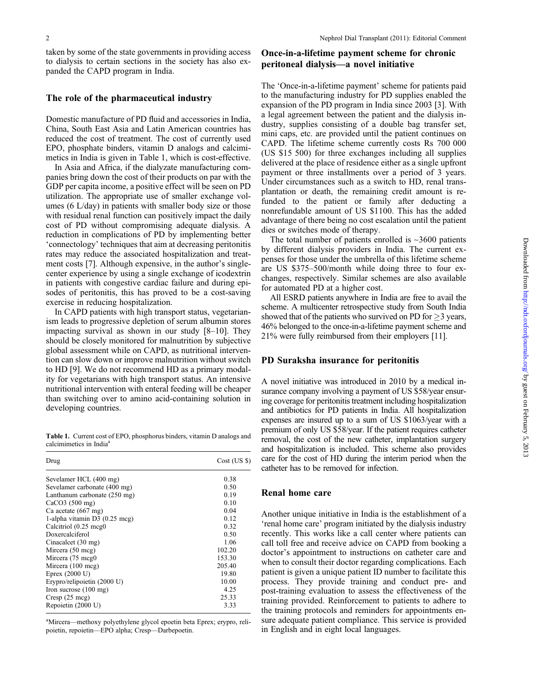taken by some of the state governments in providing access to dialysis to certain sections in the society has also expanded the CAPD program in India.

#### The role of the pharmaceutical industry

Domestic manufacture of PD fluid and accessories in India, China, South East Asia and Latin American countries has reduced the cost of treatment. The cost of currently used EPO, phosphate binders, vitamin D analogs and calcimimetics in India is given in Table 1, which is cost-effective.

In Asia and Africa, if the dialyzate manufacturing companies bring down the cost of their products on par with the GDP per capita income, a positive effect will be seen on PD utilization. The appropriate use of smaller exchange volumes (6 L/day) in patients with smaller body size or those with residual renal function can positively impact the daily cost of PD without compromising adequate dialysis. A reduction in complications of PD by implementing better 'connectology' techniques that aim at decreasing peritonitis rates may reduce the associated hospitalization and treatment costs [7]. Although expensive, in the author's singlecenter experience by using a single exchange of icodextrin in patients with congestive cardiac failure and during episodes of peritonitis, this has proved to be a cost-saving exercise in reducing hospitalization.

In CAPD patients with high transport status, vegetarianism leads to progressive depletion of serum albumin stores impacting survival as shown in our study [8–10]. They should be closely monitored for malnutrition by subjective global assessment while on CAPD, as nutritional intervention can slow down or improve malnutrition without switch to HD [9]. We do not recommend HD as a primary modality for vegetarians with high transport status. An intensive nutritional intervention with enteral feeding will be cheaper than switching over to amino acid-containing solution in developing countries.

Table 1. Current cost of EPO, phosphorus binders, vitamin D analogs and calcimimetics in India<sup>a</sup>

| Drug                            | $Cost$ (US $\})$ |
|---------------------------------|------------------|
| Sevelamer HCL (400 mg)          | 0.38             |
| Sevelamer carbonate (400 mg)    | 0.50             |
| Lanthanum carbonate (250 mg)    | 0.19             |
| CaCO3(500 mg)                   | 0.10             |
| Ca acetate $(667 \text{ mg})$   | 0.04             |
| 1-alpha vitamin $D3$ (0.25 mcg) | 0.12             |
| Calcitriol (0.25 mcg0)          | 0.32             |
| Doxercalciferol                 | 0.50             |
| Cinacalcet (30 mg)              | 1.06             |
| Mircera (50 mcg)                | 102.20           |
| Mircera (75 mcg0)               | 153.30           |
| Mircera (100 mcg)               | 205.40           |
| Eprex $(2000 U)$                | 19.80            |
| Erypro/relipoietin (2000 U)     | 10.00            |
| Iron sucrose $(100 \text{ mg})$ | 4.25             |
| $Cresp$ (25 mcg)                | 25.33            |
| Repoietin (2000 U)              | 3.33             |

<sup>a</sup>Mircera—methoxy polyethylene glycol epoetin beta Eprex; erypro, relipoietin, repoietin—EPO alpha; Cresp—Darbepoetin.

## Once-in-a-lifetime payment scheme for chronic peritoneal dialysis—a novel initiative

The 'Once-in-a-lifetime payment' scheme for patients paid to the manufacturing industry for PD supplies enabled the expansion of the PD program in India since 2003 [3]. With a legal agreement between the patient and the dialysis industry, supplies consisting of a double bag transfer set, mini caps, etc. are provided until the patient continues on CAPD. The lifetime scheme currently costs Rs 700 000 (US \$15 500) for three exchanges including all supplies delivered at the place of residence either as a single upfront payment or three installments over a period of 3 years. Under circumstances such as a switch to HD, renal transplantation or death, the remaining credit amount is refunded to the patient or family after deducting a nonrefundable amount of US \$1100. This has the added advantage of there being no cost escalation until the patient dies or switches mode of therapy.

The total number of patients enrolled is  $\sim$ 3600 patients by different dialysis providers in India. The current expenses for those under the umbrella of this lifetime scheme are US \$375–500/month while doing three to four exchanges, respectively. Similar schemes are also available for automated PD at a higher cost.

All ESRD patients anywhere in India are free to avail the scheme. A multicenter retrospective study from South India showed that of the patients who survived on PD for  $\geq$ 3 years, 46% belonged to the once-in-a-lifetime payment scheme and 21% were fully reimbursed from their employers [11].

#### PD Suraksha insurance for peritonitis

A novel initiative was introduced in 2010 by a medical insurance company involving a payment of US \$58/year ensuring coverage for peritonitis treatment including hospitalization and antibiotics for PD patients in India. All hospitalization expenses are insured up to a sum of US \$1063/year with a premium of only US \$58/year. If the patient requires catheter removal, the cost of the new catheter, implantation surgery and hospitalization is included. This scheme also provides care for the cost of HD during the interim period when the catheter has to be removed for infection.

#### Renal home care

Another unique initiative in India is the establishment of a 'renal home care' program initiated by the dialysis industry recently. This works like a call center where patients can call toll free and receive advice on CAPD from booking a doctor's appointment to instructions on catheter care and when to consult their doctor regarding complications. Each patient is given a unique patient ID number to facilitate this process. They provide training and conduct pre- and post-training evaluation to assess the effectiveness of the training provided. Reinforcement to patients to adhere to the training protocols and reminders for appointments ensure adequate patient compliance. This service is provided in English and in eight local languages.